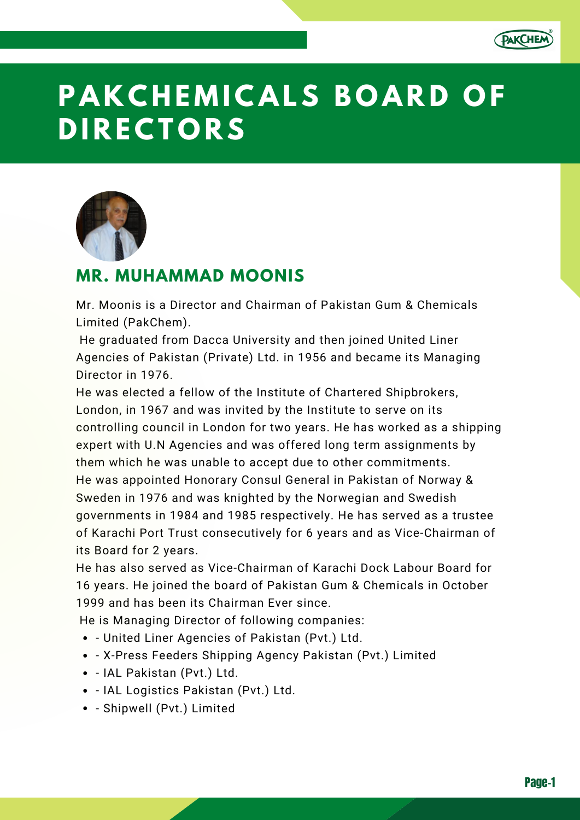

# **P A K C H E M I C A LS B O A R D O F D I R E C T O R S**



## **MR. MUHAMMAD MOONIS**

Mr. Moonis is a Director and Chairman of Pakistan Gum & Chemicals Limited (PakChem).

He graduated from Dacca University and then joined United Liner Agencies of Pakistan (Private) Ltd. in 1956 and became its Managing Director in 1976.

He was elected a fellow of the Institute of Chartered Shipbrokers, London, in 1967 and was invited by the Institute to serve on its controlling council in London for two years. He has worked as a shipping expert with U.N Agencies and was offered long term assignments by them which he was unable to accept due to other commitments. He was appointed Honorary Consul General in Pakistan of Norway & Sweden in 1976 and was knighted by the Norwegian and Swedish governments in 1984 and 1985 respectively. He has served as a trustee of Karachi Port Trust consecutively for 6 years and as Vice-Chairman of its Board for 2 years.

He has also served as Vice-Chairman of Karachi Dock Labour Board for 16 years. He joined the board of Pakistan Gum & Chemicals in October 1999 and has been its Chairman Ever since.

He is Managing Director of following companies:

- United Liner Agencies of Pakistan (Pvt.) Ltd.
- X-Press Feeders Shipping Agency Pakistan (Pvt.) Limited
- IAL Pakistan (Pvt.) Ltd.
- IAL Logistics Pakistan (Pvt.) Ltd.
- Shipwell (Pvt.) Limited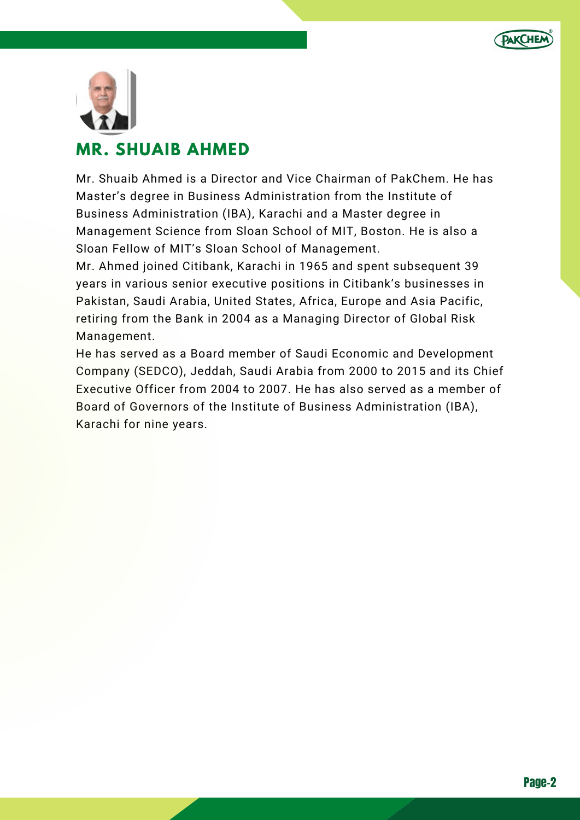



## **MR. SHUAIB AHMED**

Mr. Shuaib Ahmed is a Director and Vice Chairman of PakChem. He has Master's degree in Business Administration from the Institute of Business Administration (IBA), Karachi and a Master degree in Management Science from Sloan School of MIT, Boston. He is also a Sloan Fellow of MIT's Sloan School of Management.

Mr. Ahmed joined Citibank, Karachi in 1965 and spent subsequent 39 years in various senior executive positions in Citibank's businesses in Pakistan, Saudi Arabia, United States, Africa, Europe and Asia Pacific, retiring from the Bank in 2004 as a Managing Director of Global Risk Management.

He has served as a Board member of Saudi Economic and Development Company (SEDCO), Jeddah, Saudi Arabia from 2000 to 2015 and its Chief Executive Officer from 2004 to 2007. He has also served as a member of Board of Governors of the Institute of Business Administration (IBA), Karachi for nine years.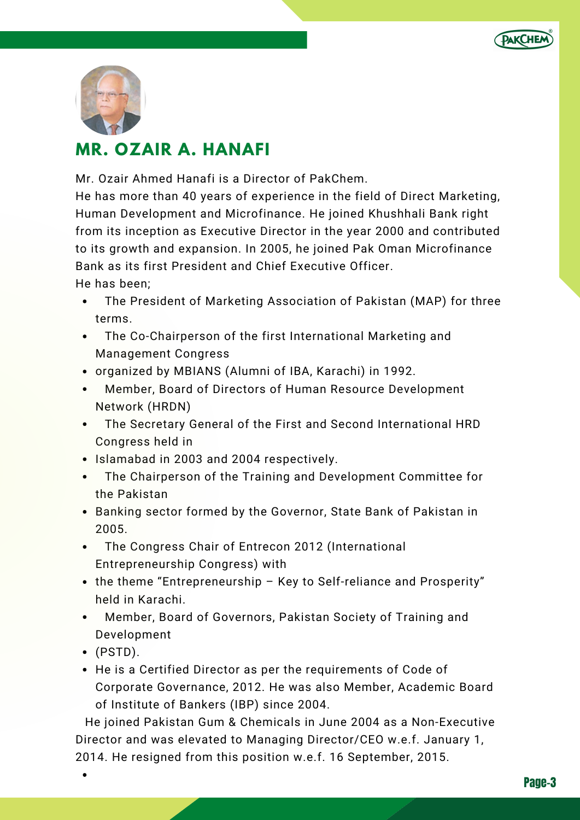



# **MR. OZAIR A. HANAFI**

Mr. Ozair Ahmed Hanafi is a Director of PakChem.

He has more than 40 years of experience in the field of Direct Marketing, Human Development and Microfinance. He joined Khushhali Bank right from its inception as Executive Director in the year 2000 and contributed to its growth and expansion. In 2005, he joined Pak Oman Microfinance Bank as its first President and Chief Executive Officer.

He has been;

- The President of Marketing Association of Pakistan (MAP) for three  $\bullet$ terms.
- The Co-Chairperson of the first International Marketing and Management Congress
- organized by MBIANS (Alumni of IBA, Karachi) in 1992.
- Member, Board of Directors of Human Resource Development Network (HRDN)
- The Secretary General of the First and Second International HRD Congress held in
- Islamabad in 2003 and 2004 respectively.
- The Chairperson of the Training and Development Committee for the Pakistan
- Banking sector formed by the Governor, State Bank of Pakistan in 2005.
- The Congress Chair of Entrecon 2012 (International Entrepreneurship Congress) with
- the theme "Entrepreneurship Key to Self-reliance and Prosperity" held in Karachi.
- Member, Board of Governors, Pakistan Society of Training and Development
- $\bullet$  (PSTD).
- He is a Certified Director as per the requirements of Code of Corporate Governance, 2012. He was also Member, Academic Board of Institute of Bankers (IBP) since 2004.

He joined Pakistan Gum & Chemicals in June 2004 as a Non-Executive Director and was elevated to Managing Director/CEO w.e.f. January 1, 2014. He resigned from this position w.e.f. 16 September, 2015.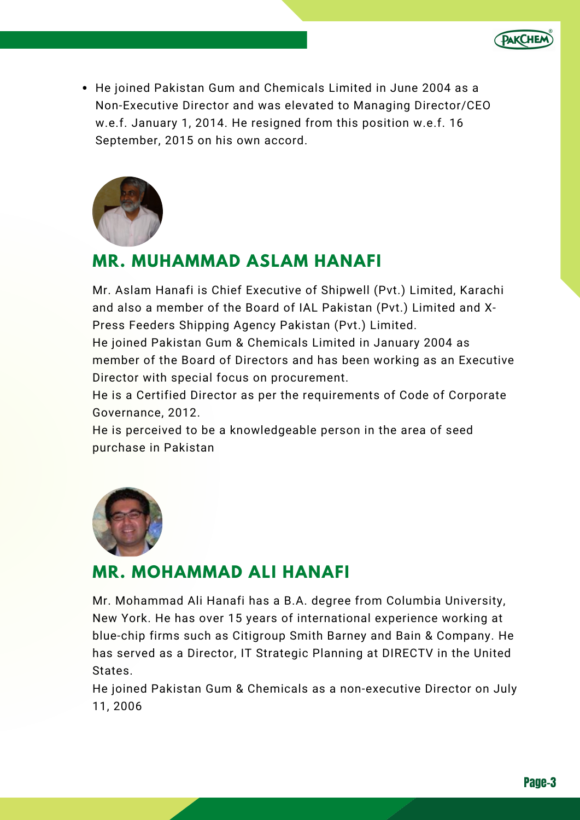

• He joined Pakistan Gum and Chemicals Limited in June 2004 as a Non-Executive Director and was elevated to Managing Director/CEO w.e.f. January 1, 2014. He resigned from this position w.e.f. 16 September, 2015 on his own accord.



### **MR. MUHAMMAD ASLAM HANAFI**

Mr. Aslam Hanafi is Chief Executive of Shipwell (Pvt.) Limited, Karachi and also a member of the Board of IAL Pakistan (Pvt.) Limited and X-Press Feeders Shipping Agency Pakistan (Pvt.) Limited.

He joined Pakistan Gum & Chemicals Limited in January 2004 as member of the Board of Directors and has been working as an Executive Director with special focus on procurement.

He is a Certified Director as per the requirements of Code of Corporate Governance, 2012.

He is perceived to be a knowledgeable person in the area of seed purchase in Pakistan



## **MR. MOHAMMAD ALI HANAFI**

Mr. Mohammad Ali Hanafi has a B.A. degree from Columbia University, New York. He has over 15 years of international experience working at blue-chip firms such as Citigroup Smith Barney and Bain & Company. He has served as a Director, IT Strategic Planning at DIRECTV in the United States.

He joined Pakistan Gum & Chemicals as a non-executive Director on July 11, 2006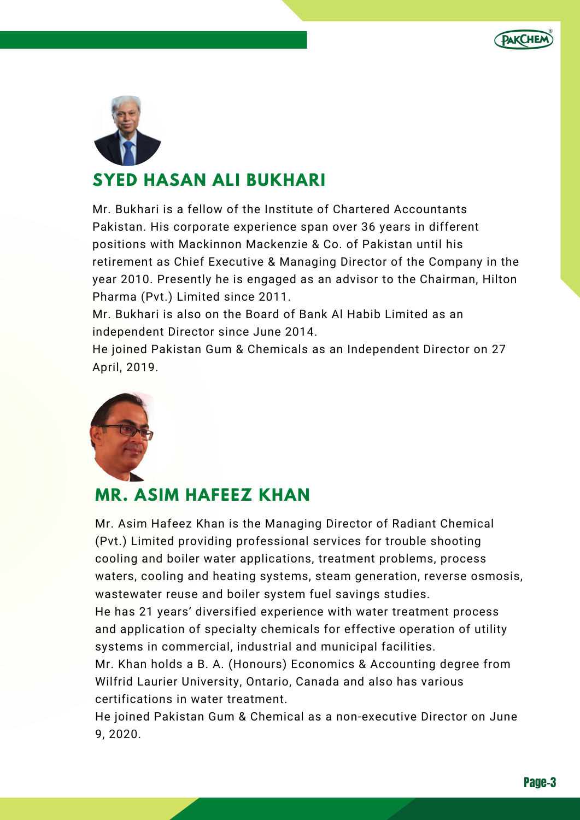



# **SYED HASAN ALI BUKHARI**

Mr. Bukhari is a fellow of the Institute of Chartered Accountants Pakistan. His corporate experience span over 36 years in different positions with Mackinnon Mackenzie & Co. of Pakistan until his retirement as Chief Executive & Managing Director of the Company in the year 2010. Presently he is engaged as an advisor to the Chairman, Hilton Pharma (Pvt.) Limited since 2011.

Mr. Bukhari is also on the Board of Bank Al Habib Limited as an independent Director since June 2014.

He joined Pakistan Gum & Chemicals as an Independent Director on 27 April, 2019.



# **MR. ASIM HAFEEZ KHAN**

Mr. Asim Hafeez Khan is the Managing Director of Radiant Chemical (Pvt.) Limited providing professional services for trouble shooting cooling and boiler water applications, treatment problems, process waters, cooling and heating systems, steam generation, reverse osmosis, wastewater reuse and boiler system fuel savings studies.

He has 21 years' diversified experience with water treatment process and application of specialty chemicals for effective operation of utility systems in commercial, industrial and municipal facilities.

Mr. Khan holds a B. A. (Honours) Economics & Accounting degree from Wilfrid Laurier University, Ontario, Canada and also has various certifications in water treatment.

He joined Pakistan Gum & Chemical as a non-executive Director on June 9, 2020.